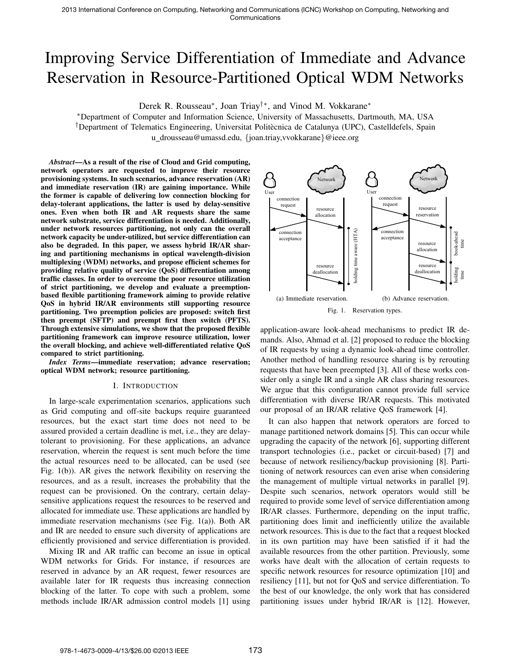# Improving Service Differentiation of Immediate and Advance Reservation in Resource-Partitioned Optical WDM Networks

Derek R. Rousseau*∗* , Joan Triay*†∗*, and Vinod M. Vokkarane*∗*

*∗*Department of Computer and Information Science, University of Massachusetts, Dartmouth, MA, USA <sup>†</sup>Department of Telematics Engineering, Universitat Politècnica de Catalunya (UPC), Castelldefels, Spain u drousseau@umassd.edu, *{*joan.triay,vvokkarane*}*@ieee.org

*Abstract*—As a result of the rise of Cloud and Grid computing, network operators are requested to improve their resource provisioning systems. In such scenarios, advance reservation (AR) and immediate reservation (IR) are gaining importance. While the former is capable of delivering low connection blocking for delay-tolerant applications, the latter is used by delay-sensitive ones. Even when both IR and AR requests share the same network substrate, service differentiation is needed. Additionally, under network resources partitioning, not only can the overall network capacity be under-utilized, but service differentiation can also be degraded. In this paper, we assess hybrid IR/AR sharing and partitioning mechanisms in optical wavelength-division multiplexing (WDM) networks, and propose efficient schemes for providing relative quality of service (QoS) differentiation among traffic classes. In order to overcome the poor resource utilization of strict partitioning, we develop and evaluate a preemptionbased flexible partitioning framework aiming to provide relative QoS in hybrid IR/AR environments still supporting resource partitioning. Two preemption policies are proposed: switch first then preempt (SFTP) and preempt first then switch (PFTS). Through extensive simulations, we show that the proposed flexible partitioning framework can improve resource utilization, lower the overall blocking, and achieve well-differentiated relative QoS compared to strict partitioning.

*Index Terms*—immediate reservation; advance reservation; optical WDM network; resource partitioning.

# I. INTRODUCTION

In large-scale experimentation scenarios, applications such as Grid computing and off-site backups require guaranteed resources, but the exact start time does not need to be assured provided a certain deadline is met, i.e., they are delaytolerant to provisioning. For these applications, an advance reservation, wherein the request is sent much before the time the actual resources need to be allocated, can be used (see Fig. 1(b)). AR gives the network flexibility on reserving the resources, and as a result, increases the probability that the request can be provisioned. On the contrary, certain delaysensitive applications request the resources to be reserved and allocated for immediate use. These applications are handled by immediate reservation mechanisms (see Fig. 1(a)). Both AR and IR are needed to ensure such diversity of applications are efficiently provisioned and service differentiation is provided.

Mixing IR and AR traffic can become an issue in optical WDM networks for Grids. For instance, if resources are reserved in advance by an AR request, fewer resources are available later for IR requests thus increasing connection blocking of the latter. To cope with such a problem, some methods include IR/AR admission control models [1] using



application-aware look-ahead mechanisms to predict IR demands. Also, Ahmad et al. [2] proposed to reduce the blocking of IR requests by using a dynamic look-ahead time controller. Another method of handling resource sharing is by rerouting requests that have been preempted [3]. All of these works consider only a single IR and a single AR class sharing resources. We argue that this configuration cannot provide full service differentiation with diverse IR/AR requests. This motivated our proposal of an IR/AR relative QoS framework [4].

It can also happen that network operators are forced to manage partitioned network domains [5]. This can occur while upgrading the capacity of the network [6], supporting different transport technologies (i.e., packet or circuit-based) [7] and because of network resiliency/backup provisioning [8]. Partitioning of network resources can even arise when considering the management of multiple virtual networks in parallel [9]. Despite such scenarios, network operators would still be required to provide some level of service differentiation among IR/AR classes. Furthermore, depending on the input traffic, partitioning does limit and inefficiently utilize the available network resources. This is due to the fact that a request blocked in its own partition may have been satisfied if it had the available resources from the other partition. Previously, some works have dealt with the allocation of certain requests to specific network resources for resource optimization [10] and resiliency [11], but not for QoS and service differentiation. To the best of our knowledge, the only work that has considered partitioning issues under hybrid IR/AR is [12]. However,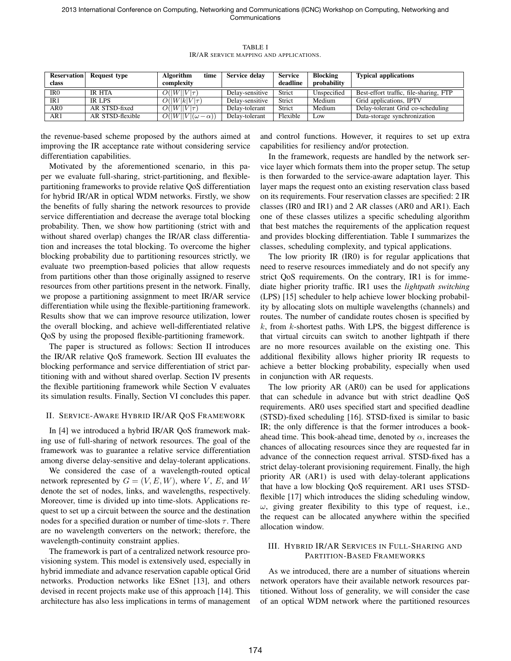| class | <b>Reservation</b> Request type | <b>Algorithm</b><br>time<br>complexity | Service delay   | <b>Service</b><br>deadline | <b>Blocking</b><br>probability | <b>Typical applications</b>            |
|-------|---------------------------------|----------------------------------------|-----------------|----------------------------|--------------------------------|----------------------------------------|
| IR0   | IR HTA                          | $O( W  V \tau)$                        | Delay-sensitive | Strict                     | Unspecified                    | Best-effort traffic, file-sharing, FTP |
| IR1   | IR LPS                          | $O( W k V \tau)$                       | Delay-sensitive | Strict                     | Medium                         | Grid applications, IPTV                |
| AR0   | AR STSD-fixed                   | $O( W  V \tau)$                        | Delay-tolerant  | Strict                     | Medium                         | Delay-tolerant Grid co-scheduling      |
| AR1   | AR STSD-flexible                | $O( W  V (\omega-\alpha))$             | Delay-tolerant  | Flexible                   | Low                            | Data-storage synchronization           |

TABLE I IR/AR SERVICE MAPPING AND APPLICATIONS.

the revenue-based scheme proposed by the authors aimed at improving the IR acceptance rate without considering service differentiation capabilities.

Motivated by the aforementioned scenario, in this paper we evaluate full-sharing, strict-partitioning, and flexiblepartitioning frameworks to provide relative QoS differentiation for hybrid IR/AR in optical WDM networks. Firstly, we show the benefits of fully sharing the network resources to provide service differentiation and decrease the average total blocking probability. Then, we show how partitioning (strict with and without shared overlap) changes the IR/AR class differentiation and increases the total blocking. To overcome the higher blocking probability due to partitioning resources strictly, we evaluate two preemption-based policies that allow requests from partitions other than those originally assigned to reserve resources from other partitions present in the network. Finally, we propose a partitioning assignment to meet IR/AR service differentiation while using the flexible-partitioning framework. Results show that we can improve resource utilization, lower the overall blocking, and achieve well-differentiated relative QoS by using the proposed flexible-partitioning framework.

The paper is structured as follows: Section II introduces the IR/AR relative QoS framework. Section III evaluates the blocking performance and service differentiation of strict partitioning with and without shared overlap. Section IV presents the flexible partitioning framework while Section V evaluates its simulation results. Finally, Section VI concludes this paper.

## II. SERVICE-AWARE HYBRID IR/AR QOS FRAMEWORK

In [4] we introduced a hybrid IR/AR QoS framework making use of full-sharing of network resources. The goal of the framework was to guarantee a relative service differentiation among diverse delay-sensitive and delay-tolerant applications.

We considered the case of a wavelength-routed optical network represented by  $G = (V, E, W)$ , where *V*, *E*, and *W* denote the set of nodes, links, and wavelengths, respectively. Moreover, time is divided up into time-slots. Applications request to set up a circuit between the source and the destination nodes for a specified duration or number of time-slots  $\tau$ . There are no wavelength converters on the network; therefore, the wavelength-continuity constraint applies.

The framework is part of a centralized network resource provisioning system. This model is extensively used, especially in hybrid immediate and advance reservation capable optical Grid networks. Production networks like ESnet [13], and others devised in recent projects make use of this approach [14]. This architecture has also less implications in terms of management and control functions. However, it requires to set up extra capabilities for resiliency and/or protection.

In the framework, requests are handled by the network service layer which formats them into the proper setup. The setup is then forwarded to the service-aware adaptation layer. This layer maps the request onto an existing reservation class based on its requirements. Four reservation classes are specified: 2 IR classes (IR0 and IR1) and 2 AR classes (AR0 and AR1). Each one of these classes utilizes a specific scheduling algorithm that best matches the requirements of the application request and provides blocking differentiation. Table I summarizes the classes, scheduling complexity, and typical applications.

The low priority IR (IR0) is for regular applications that need to reserve resources immediately and do not specify any strict QoS requirements. On the contrary, IR1 is for immediate higher priority traffic. IR1 uses the *lightpath switching* (LPS) [15] scheduler to help achieve lower blocking probability by allocating slots on multiple wavelengths (channels) and routes. The number of candidate routes chosen is specified by *k*, from *k*-shortest paths. With LPS, the biggest difference is that virtual circuits can switch to another lightpath if there are no more resources available on the existing one. This additional flexibility allows higher priority IR requests to achieve a better blocking probability, especially when used in conjunction with AR requests.

The low priority AR (AR0) can be used for applications that can schedule in advance but with strict deadline QoS requirements. AR0 uses specified start and specified deadline (STSD)-fixed scheduling [16]. STSD-fixed is similar to basic IR; the only difference is that the former introduces a bookahead time. This book-ahead time, denoted by *α*, increases the chances of allocating resources since they are requested far in advance of the connection request arrival. STSD-fixed has a strict delay-tolerant provisioning requirement. Finally, the high priority AR (AR1) is used with delay-tolerant applications that have a low blocking QoS requirement. AR1 uses STSDflexible [17] which introduces the sliding scheduling window, *ω*, giving greater flexibility to this type of request, i.e., the request can be allocated anywhere within the specified allocation window.

## III. HYBRID IR/AR SERVICES IN FULL-SHARING AND PARTITION-BASED FRAMEWORKS

As we introduced, there are a number of situations wherein network operators have their available network resources partitioned. Without loss of generality, we will consider the case of an optical WDM network where the partitioned resources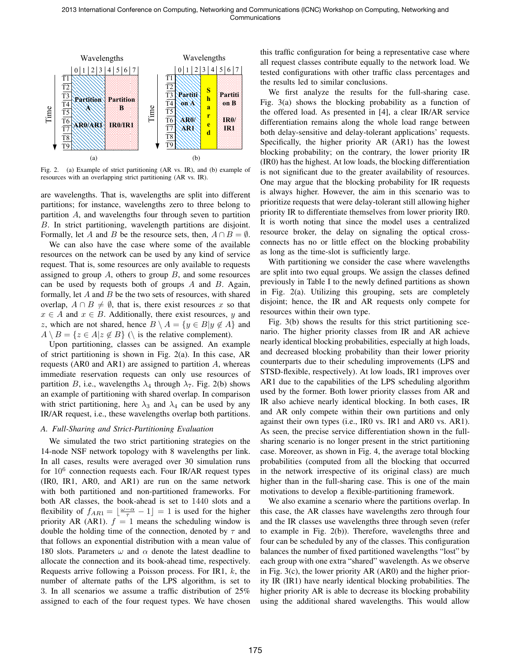

Fig. 2. (a) Example of strict partitioning (AR vs. IR), and (b) example of resources with an overlapping strict partitioning (AR vs. IR).

are wavelengths. That is, wavelengths are split into different partitions; for instance, wavelengths zero to three belong to partition *A*, and wavelengths four through seven to partition *B*. In strict partitioning, wavelength partitions are disjoint. Formally, let *A* and *B* be the resource sets, then,  $A \cap B = \emptyset$ .

We can also have the case where some of the available resources on the network can be used by any kind of service request. That is, some resources are only available to requests assigned to group *A*, others to group *B*, and some resources can be used by requests both of groups *A* and *B*. Again, formally, let *A* and *B* be the two sets of resources, with shared overlap,  $A \cap B \neq \emptyset$ , that is, there exist resources x so that  $x \in A$  and  $x \in B$ . Additionally, there exist resources, *y* and *z*, which are not shared, hence  $B \setminus A = \{y \in B | y \notin A\}$  and  $A \setminus B = \{z \in A | z \notin B\}$  ( $\setminus$  is the relative complement).

Upon partitioning, classes can be assigned. An example of strict partitioning is shown in Fig. 2(a). In this case, AR requests (AR0 and AR1) are assigned to partition *A*, whereas immediate reservation requests can only use resources of partition *B*, i.e., wavelengths  $\lambda_4$  through  $\lambda_7$ . Fig. 2(b) shows an example of partitioning with shared overlap. In comparison with strict partitioning, here  $\lambda_3$  and  $\lambda_4$  can be used by any IR/AR request, i.e., these wavelengths overlap both partitions.

## *A. Full-Sharing and Strict-Partitioning Evaluation*

We simulated the two strict partitioning strategies on the 14-node NSF network topology with 8 wavelengths per link. In all cases, results were averaged over 30 simulation runs for  $10^6$  connection requests each. Four IR/AR request types (IR0, IR1, AR0, and AR1) are run on the same network with both partitioned and non-partitioned frameworks. For both AR classes, the book-ahead is set to 1440 slots and a flexibility of  $f_{AR1} = \lfloor \frac{\omega - \alpha}{\tau} - 1 \rfloor = 1$  is used for the higher priority AR (AR1).  $f = 1$  means the scheduling window is double the holding time of the connection, denoted by *τ* and that follows an exponential distribution with a mean value of 180 slots. Parameters  $\omega$  and  $\alpha$  denote the latest deadline to allocate the connection and its book-ahead time, respectively. Requests arrive following a Poisson process. For IR1, *k*, the number of alternate paths of the LPS algorithm, is set to 3. In all scenarios we assume a traffic distribution of 25% assigned to each of the four request types. We have chosen this traffic configuration for being a representative case where all request classes contribute equally to the network load. We tested configurations with other traffic class percentages and the results led to similar conclusions.

We first analyze the results for the full-sharing case. Fig. 3(a) shows the blocking probability as a function of the offered load. As presented in [4], a clear IR/AR service differentiation remains along the whole load range between both delay-sensitive and delay-tolerant applications' requests. Specifically, the higher priority AR (AR1) has the lowest blocking probability; on the contrary, the lower priority IR (IR0) has the highest. At low loads, the blocking differentiation is not significant due to the greater availability of resources. One may argue that the blocking probability for IR requests is always higher. However, the aim in this scenario was to prioritize requests that were delay-tolerant still allowing higher priority IR to differentiate themselves from lower priority IR0. It is worth noting that since the model uses a centralized resource broker, the delay on signaling the optical crossconnects has no or little effect on the blocking probability as long as the time-slot is sufficiently large.

With partitioning we consider the case where wavelengths are split into two equal groups. We assign the classes defined previously in Table I to the newly defined partitions as shown in Fig. 2(a). Utilizing this grouping, sets are completely disjoint; hence, the IR and AR requests only compete for resources within their own type.

Fig. 3(b) shows the results for this strict partitioning scenario. The higher priority classes from IR and AR achieve nearly identical blocking probabilities, especially at high loads, and decreased blocking probability than their lower priority counterparts due to their scheduling improvements (LPS and STSD-flexible, respectively). At low loads, IR1 improves over AR1 due to the capabilities of the LPS scheduling algorithm used by the former. Both lower priority classes from AR and IR also achieve nearly identical blocking. In both cases, IR and AR only compete within their own partitions and only against their own types (i.e., IR0 vs. IR1 and AR0 vs. AR1). As seen, the precise service differentiation shown in the fullsharing scenario is no longer present in the strict partitioning case. Moreover, as shown in Fig. 4, the average total blocking probabilities (computed from all the blocking that occurred in the network irrespective of its original class) are much higher than in the full-sharing case. This is one of the main motivations to develop a flexible-partitioning framework.

We also examine a scenario where the partitions overlap. In this case, the AR classes have wavelengths zero through four and the IR classes use wavelengths three through seven (refer to example in Fig. 2(b)). Therefore, wavelengths three and four can be scheduled by any of the classes. This configuration balances the number of fixed partitioned wavelengths "lost" by each group with one extra "shared" wavelength. As we observe in Fig. 3(c), the lower priority AR (AR0) and the higher priority IR (IR1) have nearly identical blocking probabilities. The higher priority AR is able to decrease its blocking probability using the additional shared wavelengths. This would allow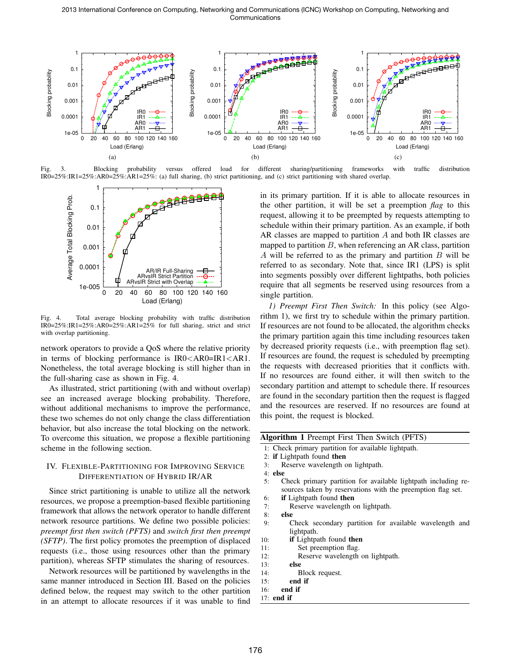2013 International Conference on Computing, Networking and Communications (ICNC) Workshop on Computing, Networking and Communications



Fig. 3. Blocking probability versus offered load for different sharing/partitioning frameworks with traffic distribution IR0=25%:IR1=25%:AR0=25%:AR1=25%: (a) full sharing, (b) strict partitioning, and (c) strict partitioning with shared overlap.



Fig. 4. Total average blocking probability with traffic distribution IR0=25%:IR1=25%:AR0=25%:AR1=25% for full sharing, strict and strict with overlap partitioning.

network operators to provide a QoS where the relative priority in terms of blocking performance is IR0*<*AR0=IR1*<*AR1. Nonetheless, the total average blocking is still higher than in the full-sharing case as shown in Fig. 4.

As illustrated, strict partitioning (with and without overlap) see an increased average blocking probability. Therefore, without additional mechanisms to improve the performance, these two schemes do not only change the class differentiation behavior, but also increase the total blocking on the network. To overcome this situation, we propose a flexible partitioning scheme in the following section.

# IV. FLEXIBLE-PARTITIONING FOR IMPROVING SERVICE DIFFERENTIATION OF HYBRID IR/AR

Since strict partitioning is unable to utilize all the network resources, we propose a preemption-based flexible partitioning framework that allows the network operator to handle different network resource partitions. We define two possible policies: *preempt first then switch (PFTS)* and *switch first then preempt (SFTP)*. The first policy promotes the preemption of displaced requests (i.e., those using resources other than the primary partition), whereas SFTP stimulates the sharing of resources.

Network resources will be partitioned by wavelengths in the same manner introduced in Section III. Based on the policies defined below, the request may switch to the other partition in an attempt to allocate resources if it was unable to find in its primary partition. If it is able to allocate resources in the other partition, it will be set a preemption *flag* to this request, allowing it to be preempted by requests attempting to schedule within their primary partition. As an example, if both AR classes are mapped to partition *A* and both IR classes are mapped to partition *B*, when referencing an AR class, partition *A* will be referred to as the primary and partition *B* will be referred to as secondary. Note that, since IR1 (LPS) is split into segments possibly over different lightpaths, both policies require that all segments be reserved using resources from a single partition.

*1) Preempt First Then Switch:* In this policy (see Algorithm 1), we first try to schedule within the primary partition. If resources are not found to be allocated, the algorithm checks the primary partition again this time including resources taken by decreased priority requests (i.e., with preemption flag set). If resources are found, the request is scheduled by preempting the requests with decreased priorities that it conflicts with. If no resources are found either, it will then switch to the secondary partition and attempt to schedule there. If resources are found in the secondary partition then the request is flagged and the resources are reserved. If no resources are found at this point, the request is blocked.

| Algorithm 1 Preempt First Then Switch (PFTS) |  |  |  |  |  |  |
|----------------------------------------------|--|--|--|--|--|--|
|----------------------------------------------|--|--|--|--|--|--|

- 1: Check primary partition for available lightpath.
- 2: if Lightpath found then
- 3: Reserve wavelength on lightpath.

- 5: Check primary partition for available lightpath including resources taken by reservations with the preemption flag set.
- 6: if Lightpath found then
- 7: Reserve wavelength on lightpath.
- 8: else
- 9: Check secondary partition for available wavelength and lightpath.
- 10: if Lightpath found then
- 11: Set preemption flag.
- 12: Reserve wavelength on lightpath.
- 13: else
- 14: Block request.
- 15: end if
- 16: end if
- 17: end if

<sup>4:</sup> else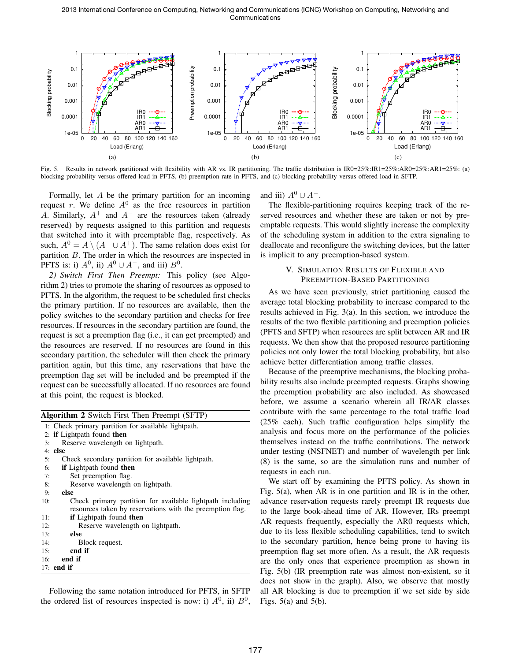2013 International Conference on Computing, Networking and Communications (ICNC) Workshop on Computing, Networking and Communications



Fig. 5. Results in network partitioned with flexibility with AR vs. IR partitioning. The traffic distribution is IR0=25%:IR1=25%:AR0=25%:AR1=25%: (a) blocking probability versus offered load in PFTS, (b) preemption rate in PFTS, and (c) blocking probability versus offered load in SFTP.

Formally, let *A* be the primary partition for an incoming request  $r$ . We define  $A^0$  as the free resources in partition *A*. Similarly, *A*<sup>+</sup> and *A<sup>−</sup>* are the resources taken (already reserved) by requests assigned to this partition and requests that switched into it with preemptable flag, respectively. As such,  $A^0 = A \setminus (A^- \cup A^+)$ . The same relation does exist for partition *B*. The order in which the resources are inspected in PFTS is: i)  $A^0$ , ii)  $A^0 \cup A^-$ , and iii)  $B^0$ .

*2) Switch First Then Preempt:* This policy (see Algorithm 2) tries to promote the sharing of resources as opposed to PFTS. In the algorithm, the request to be scheduled first checks the primary partition. If no resources are available, then the policy switches to the secondary partition and checks for free resources. If resources in the secondary partition are found, the request is set a preemption flag (i.e., it can get preempted) and the resources are reserved. If no resources are found in this secondary partition, the scheduler will then check the primary partition again, but this time, any reservations that have the preemption flag set will be included and be preempted if the request can be successfully allocated. If no resources are found at this point, the request is blocked.

|     | <b>Algorithm 2</b> Switch First Then Preempt (SFTP)       |
|-----|-----------------------------------------------------------|
|     | 1: Check primary partition for available lightpath.       |
|     | 2: if Lightpath found then                                |
| 3:  | Reserve wavelength on lightpath.                          |
|     | $4:$ else                                                 |
| 5:  | Check secondary partition for available lightpath.        |
| 6:  | if Lightpath found then                                   |
| 7:  | Set preemption flag.                                      |
| 8:  | Reserve wavelength on lightpath.                          |
| 9:  | else                                                      |
| 10: | Check primary partition for available lightpath including |
|     | resources taken by reservations with the preemption flag. |
| 11: | <b>if</b> Lightpath found then                            |
| 12: | Reserve wavelength on lightpath.                          |
| 13: | else                                                      |
| 14: | Block request.                                            |
| 15: | end if                                                    |
| 16: | end if                                                    |
|     | $17:$ end if                                              |
|     |                                                           |

Following the same notation introduced for PFTS, in SFTP the ordered list of resources inspected is now: i)  $A^0$ , ii)  $B^0$ , and iii)  $A^0 \cup A^-$ .

The flexible-partitioning requires keeping track of the reserved resources and whether these are taken or not by preemptable requests. This would slightly increase the complexity of the scheduling system in addition to the extra signaling to deallocate and reconfigure the switching devices, but the latter is implicit to any preemption-based system.

# V. SIMULATION RESULTS OF FLEXIBLE AND PREEMPTION-BASED PARTITIONING

As we have seen previously, strict partitioning caused the average total blocking probability to increase compared to the results achieved in Fig. 3(a). In this section, we introduce the results of the two flexible partitioning and preemption policies (PFTS and SFTP) when resources are split between AR and IR requests. We then show that the proposed resource partitioning policies not only lower the total blocking probability, but also achieve better differentiation among traffic classes.

Because of the preemptive mechanisms, the blocking probability results also include preempted requests. Graphs showing the preemption probability are also included. As showcased before, we assume a scenario wherein all IR/AR classes contribute with the same percentage to the total traffic load (25% each). Such traffic configuration helps simplify the analysis and focus more on the performance of the policies themselves instead on the traffic contributions. The network under testing (NSFNET) and number of wavelength per link (8) is the same, so are the simulation runs and number of requests in each run.

We start off by examining the PFTS policy. As shown in Fig. 5(a), when AR is in one partition and IR is in the other, advance reservation requests rarely preempt IR requests due to the large book-ahead time of AR. However, IRs preempt AR requests frequently, especially the AR0 requests which, due to its less flexible scheduling capabilities, tend to switch to the secondary partition, hence being prone to having its preemption flag set more often. As a result, the AR requests are the only ones that experience preemption as shown in Fig. 5(b) (IR preemption rate was almost non-existent, so it does not show in the graph). Also, we observe that mostly all AR blocking is due to preemption if we set side by side Figs.  $5(a)$  and  $5(b)$ .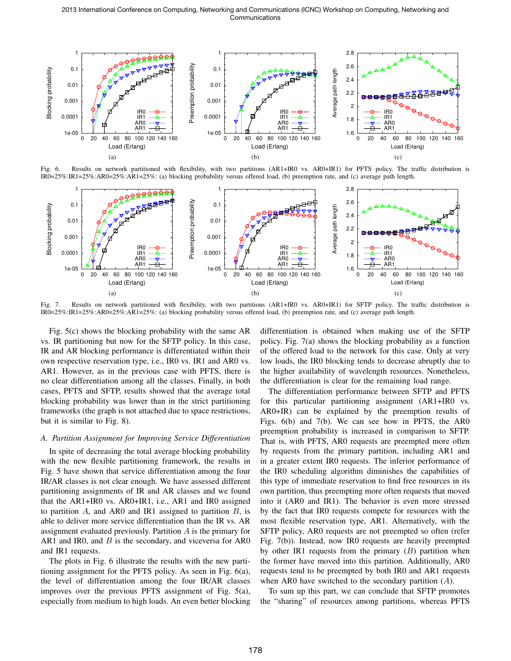2013 International Conference on Computing, Networking and Communications (ICNC) Workshop on Computing, Networking and Communications



Fig. 6. Results on network partitioned with flexibility, with two partitions (AR1+IR0 vs. AR0+IR1) for PFTS policy. The traffic distribution is IR0=25%:IR1=25%:AR0=25%:AR1=25%: (a) blocking probability versus offered load, (b) preemption rate, and (c) average path length.



Fig. 7. Results on network partitioned with flexibility, with two partitions (AR1+IR0 vs. AR0+IR1) for SFTP policy. The traffic distribution is IR0=25%:IR1=25%:AR0=25%:AR1=25%: (a) blocking probability versus offered load, (b) preemption rate, and (c) average path length.

Fig. 5(c) shows the blocking probability with the same AR vs. IR partitioning but now for the SFTP policy. In this case, IR and AR blocking performance is differentiated within their own respective reservation type, i.e., IR0 vs. IR1 and AR0 vs. AR1. However, as in the previous case with PFTS, there is no clear differentiation among all the classes. Finally, in both cases, PFTS and SFTP, results showed that the average total blocking probability was lower than in the strict partitioning frameworks (the graph is not attached due to space restrictions, but it is similar to Fig. 8).

#### *A. Partition Assignment for Improving Service Differentiation*

In spite of decreasing the total average blocking probability with the new flexible partitioning framework, the results in Fig. 5 have shown that service differentiation among the four IR/AR classes is not clear enough. We have assessed different partitioning assignments of IR and AR classes and we found that the AR1+IR0 vs. AR0+IR1, i.e., AR1 and IR0 assigned to partition *A*, and AR0 and IR1 assigned to partition *B*, is able to deliver more service differentiation than the IR vs. AR assignment evaluated previously. Partition *A* is the primary for AR1 and IR0, and *B* is the secondary, and viceversa for AR0 and IR1 requests.

The plots in Fig. 6 illustrate the results with the new partitioning assignment for the PFTS policy. As seen in Fig. 6(a), the level of differentiation among the four IR/AR classes improves over the previous PFTS assignment of Fig. 5(a), especially from medium to high loads. An even better blocking differentiation is obtained when making use of the SFTP policy. Fig. 7(a) shows the blocking probability as a function of the offered load to the network for this case. Only at very low loads, the IR0 blocking tends to decrease abruptly due to the higher availability of wavelength resources. Nonetheless, the differentiation is clear for the remaining load range.

The differentiation performance between SFTP and PFTS for this particular partitioning assignment (AR1+IR0 vs. AR0+IR) can be explained by the preemption results of Figs. 6(b) and 7(b). We can see how in PFTS, the AR0 preemption probability is increased in comparison to SFTP. That is, with PFTS, AR0 requests are preempted more often by requests from the primary partition, including AR1 and in a greater extent IR0 requests. The inferior performance of the IR0 scheduling algorithm diminishes the capabilities of this type of immediate reservation to find free resources in its own partition, thus preempting more often requests that moved into it (AR0 and IR1). The behavior is even more stressed by the fact that IR0 requests compete for resources with the most flexible reservation type, AR1. Alternatively, with the SFTP policy, AR0 requests are not preempted so often (refer Fig. 7(b)). Instead, now IR0 requests are heavily preempted by other IR1 requests from the primary (*B*) partition when the former have moved into this partition. Additionally, AR0 requests tend to be preempted by both IR0 and AR1 requests when AR0 have switched to the secondary partition (*A*).

To sum up this part, we can conclude that SFTP promotes the "sharing" of resources among partitions, whereas PFTS